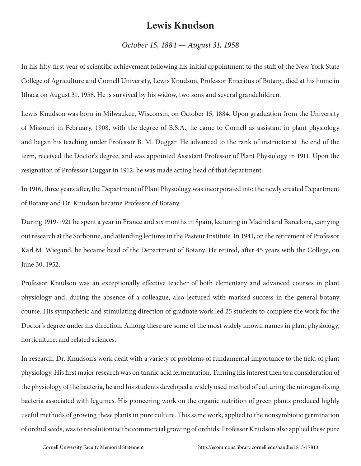## **Lewis Knudson**

## *October 15, 1884 — August 31, 1958*

In his fifty-first year of scientific achievement following his initial appointment to the staff of the New York State College of Agriculture and Cornell University, Lewis Knudson, Professor Emeritus of Botany, died at his home in Ithaca on August 31, 1958. He is survived by his widow, two sons and several grandchildren.

Lewis Knudson was born in Milwaukee, Wisconsin, on October 15, 1884. Upon graduation from the University of Missouri in February, 1908, with the degree of B.S.A., he came to Cornell as assistant in plant physiology and began his teaching under Professor B. M. Duggar. He advanced to the rank of instructor at the end of the term, received the Doctor's degree, and was appointed Assistant Professor of Plant Physiology in 1911. Upon the resignation of Professor Duggar in 1912, he was made acting head of that department.

In 1916, three years after, the Department of Plant Physiology was incorporated into the newly created Department of Botany and Dr. Knudson became Professor of Botany.

During 1919-1921 he spent a year in France and six months in Spain, lecturing in Madrid and Barcelona, carrying out research at the Sorbonne, and attending lectures in the Pasteur Institute. In 1941, on the retirement of Professor Karl M. Wiegand, he became head of the Department of Botany. He retired, after 45 years with the College, on June 30, 1952.

Professor Knudson was an exceptionally effective teacher of both elementary and advanced courses in plant physiology and, during the absence of a colleague, also lectured with marked success in the general botany course. His sympathetic and stimulating direction of graduate work led 25 students to complete the work for the Doctor's degree under his direction. Among these are some of the most widely known names in plant physiology, horticulture, and related sciences.

In research, Dr. Knudson's work dealt with a variety of problems of fundamental importance to the field of plant physiology. His first major research was on tannic acid fermentation. Turning his interest then to a consideration of the physiology of the bacteria, he and his students developed a widely used method of culturing the nitrogen-fixing bacteria associated with legumes. His pioneering work on the organic nutrition of green plants produced highly useful methods of growing these plants in pure culture. This same work, applied to the nonsymbiotic germination of orchid seeds, was to revolutionize the commercial growing of orchids. Professor Knudson also applied these pure